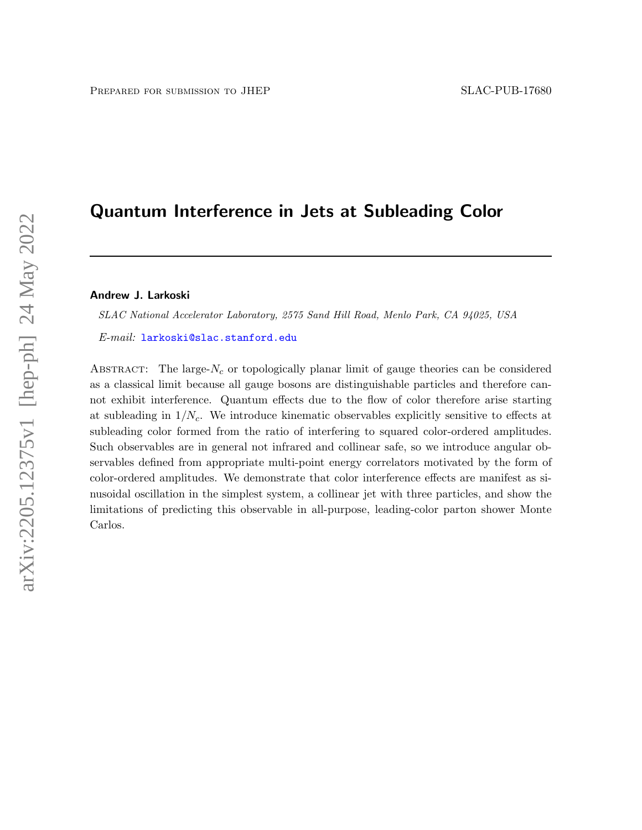# Quantum Interference in Jets at Subleading Color

### Andrew J. Larkoski

SLAC National Accelerator Laboratory, 2575 Sand Hill Road, Menlo Park, CA 94025, USA

E-mail: [larkoski@slac.stanford.edu](mailto:larkoski@slac.stanford.edu)

ABSTRACT: The large- $N_c$  or topologically planar limit of gauge theories can be considered as a classical limit because all gauge bosons are distinguishable particles and therefore cannot exhibit interference. Quantum effects due to the flow of color therefore arise starting at subleading in  $1/N_c$ . We introduce kinematic observables explicitly sensitive to effects at subleading color formed from the ratio of interfering to squared color-ordered amplitudes. Such observables are in general not infrared and collinear safe, so we introduce angular observables defined from appropriate multi-point energy correlators motivated by the form of color-ordered amplitudes. We demonstrate that color interference effects are manifest as sinusoidal oscillation in the simplest system, a collinear jet with three particles, and show the limitations of predicting this observable in all-purpose, leading-color parton shower Monte Carlos.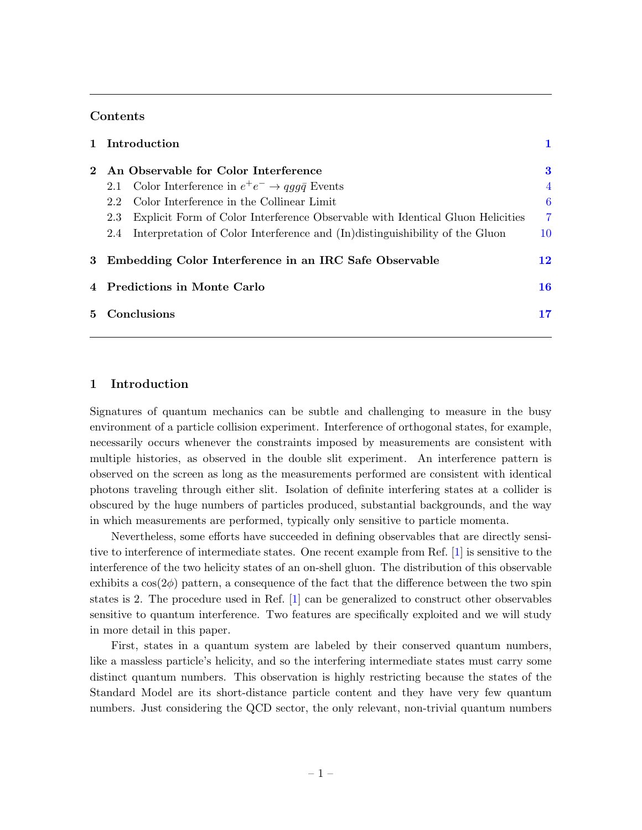### Contents

|             | 1 Introduction                                                                        |                |
|-------------|---------------------------------------------------------------------------------------|----------------|
| $2^{\circ}$ | An Observable for Color Interference                                                  | 3              |
|             | 2.1 Color Interference in $e^+e^- \rightarrow qq\bar{q}$ Events                       | $\overline{4}$ |
|             | Color Interference in the Collinear Limit<br>2.2                                      | 6              |
|             | Explicit Form of Color Interference Observable with Identical Gluon Helicities<br>2.3 | $\overline{7}$ |
|             | Interpretation of Color Interference and (In) distinguishibility of the Gluon<br>2.4  | 10             |
|             | 3 Embedding Color Interference in an IRC Safe Observable                              | 12             |
|             | 4 Predictions in Monte Carlo                                                          | 16             |
| $5^{\circ}$ | Conclusions                                                                           | 17             |

### <span id="page-1-0"></span>1 Introduction

Signatures of quantum mechanics can be subtle and challenging to measure in the busy environment of a particle collision experiment. Interference of orthogonal states, for example, necessarily occurs whenever the constraints imposed by measurements are consistent with multiple histories, as observed in the double slit experiment. An interference pattern is observed on the screen as long as the measurements performed are consistent with identical photons traveling through either slit. Isolation of definite interfering states at a collider is obscured by the huge numbers of particles produced, substantial backgrounds, and the way in which measurements are performed, typically only sensitive to particle momenta.

Nevertheless, some efforts have succeeded in defining observables that are directly sensitive to interference of intermediate states. One recent example from Ref. [\[1\]](#page-18-0) is sensitive to the interference of the two helicity states of an on-shell gluon. The distribution of this observable exhibits a  $\cos(2\phi)$  pattern, a consequence of the fact that the difference between the two spin states is 2. The procedure used in Ref. [\[1\]](#page-18-0) can be generalized to construct other observables sensitive to quantum interference. Two features are specifically exploited and we will study in more detail in this paper.

First, states in a quantum system are labeled by their conserved quantum numbers, like a massless particle's helicity, and so the interfering intermediate states must carry some distinct quantum numbers. This observation is highly restricting because the states of the Standard Model are its short-distance particle content and they have very few quantum numbers. Just considering the QCD sector, the only relevant, non-trivial quantum numbers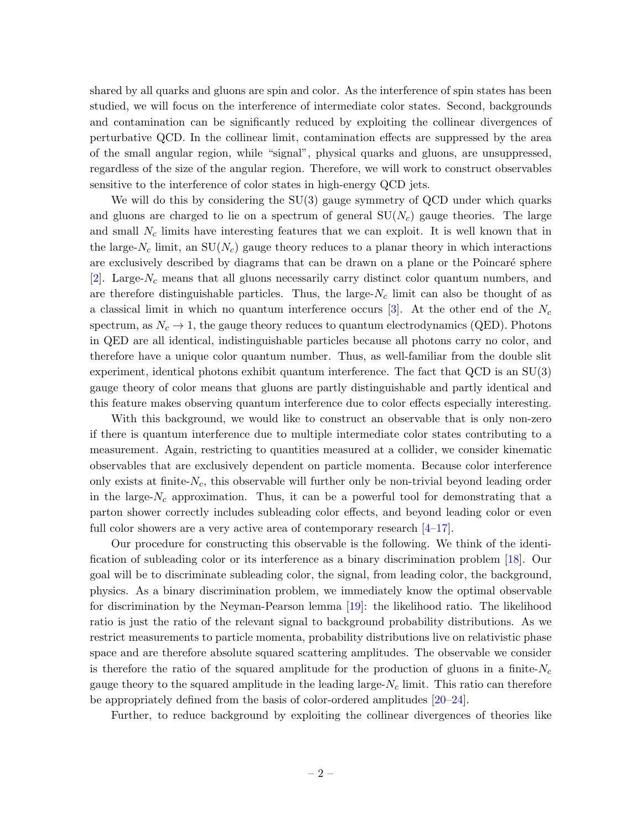shared by all quarks and gluons are spin and color. As the interference of spin states has been studied, we will focus on the interference of intermediate color states. Second, backgrounds and contamination can be significantly reduced by exploiting the collinear divergences of perturbative QCD. In the collinear limit, contamination effects are suppressed by the area of the small angular region, while "signal", physical quarks and gluons, are unsuppressed, regardless of the size of the angular region. Therefore, we will work to construct observables sensitive to the interference of color states in high-energy QCD jets.

We will do this by considering the  $SU(3)$  gauge symmetry of QCD under which quarks and gluons are charged to lie on a spectrum of general  $SU(N_c)$  gauge theories. The large and small  $N_c$  limits have interesting features that we can exploit. It is well known that in the large- $N_c$  limit, an  $SU(N_c)$  gauge theory reduces to a planar theory in which interactions are exclusively described by diagrams that can be drawn on a plane or the Poincaré sphere [\[2\]](#page-18-1). Large- $N_c$  means that all gluons necessarily carry distinct color quantum numbers, and are therefore distinguishable particles. Thus, the large- $N_c$  limit can also be thought of as a classical limit in which no quantum interference occurs [\[3\]](#page-18-2). At the other end of the  $N_c$ spectrum, as  $N_c \rightarrow 1$ , the gauge theory reduces to quantum electrodynamics (QED). Photons in QED are all identical, indistinguishable particles because all photons carry no color, and therefore have a unique color quantum number. Thus, as well-familiar from the double slit experiment, identical photons exhibit quantum interference. The fact that QCD is an SU(3) gauge theory of color means that gluons are partly distinguishable and partly identical and this feature makes observing quantum interference due to color effects especially interesting.

With this background, we would like to construct an observable that is only non-zero if there is quantum interference due to multiple intermediate color states contributing to a measurement. Again, restricting to quantities measured at a collider, we consider kinematic observables that are exclusively dependent on particle momenta. Because color interference only exists at finite- $N_c$ , this observable will further only be non-trivial beyond leading order in the large- $N_c$  approximation. Thus, it can be a powerful tool for demonstrating that a parton shower correctly includes subleading color effects, and beyond leading color or even full color showers are a very active area of contemporary research  $[4-17]$  $[4-17]$ .

Our procedure for constructing this observable is the following. We think of the identification of subleading color or its interference as a binary discrimination problem [\[18\]](#page-19-1). Our goal will be to discriminate subleading color, the signal, from leading color, the background, physics. As a binary discrimination problem, we immediately know the optimal observable for discrimination by the Neyman-Pearson lemma [\[19\]](#page-19-2): the likelihood ratio. The likelihood ratio is just the ratio of the relevant signal to background probability distributions. As we restrict measurements to particle momenta, probability distributions live on relativistic phase space and are therefore absolute squared scattering amplitudes. The observable we consider is therefore the ratio of the squared amplitude for the production of gluons in a finite- $N_c$ gauge theory to the squared amplitude in the leading large- $N_c$  limit. This ratio can therefore be appropriately defined from the basis of color-ordered amplitudes [\[20–](#page-19-3)[24\]](#page-19-4).

Further, to reduce background by exploiting the collinear divergences of theories like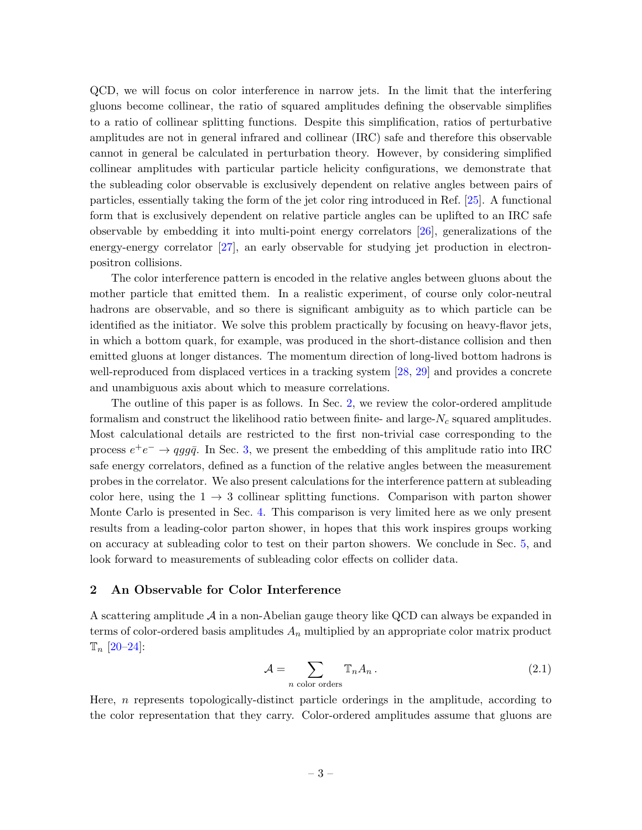QCD, we will focus on color interference in narrow jets. In the limit that the interfering gluons become collinear, the ratio of squared amplitudes defining the observable simplifies to a ratio of collinear splitting functions. Despite this simplification, ratios of perturbative amplitudes are not in general infrared and collinear (IRC) safe and therefore this observable cannot in general be calculated in perturbation theory. However, by considering simplified collinear amplitudes with particular particle helicity configurations, we demonstrate that the subleading color observable is exclusively dependent on relative angles between pairs of particles, essentially taking the form of the jet color ring introduced in Ref. [\[25\]](#page-19-5). A functional form that is exclusively dependent on relative particle angles can be uplifted to an IRC safe observable by embedding it into multi-point energy correlators [\[26\]](#page-19-6), generalizations of the energy-energy correlator [\[27\]](#page-19-7), an early observable for studying jet production in electronpositron collisions.

The color interference pattern is encoded in the relative angles between gluons about the mother particle that emitted them. In a realistic experiment, of course only color-neutral hadrons are observable, and so there is significant ambiguity as to which particle can be identified as the initiator. We solve this problem practically by focusing on heavy-flavor jets, in which a bottom quark, for example, was produced in the short-distance collision and then emitted gluons at longer distances. The momentum direction of long-lived bottom hadrons is well-reproduced from displaced vertices in a tracking system [\[28,](#page-19-8) [29\]](#page-19-9) and provides a concrete and unambiguous axis about which to measure correlations.

The outline of this paper is as follows. In Sec. [2,](#page-3-0) we review the color-ordered amplitude formalism and construct the likelihood ratio between finite- and large- $N_c$  squared amplitudes. Most calculational details are restricted to the first non-trivial case corresponding to the process  $e^+e^- \rightarrow qgg\bar{q}$ . In Sec. [3,](#page-12-0) we present the embedding of this amplitude ratio into IRC safe energy correlators, defined as a function of the relative angles between the measurement probes in the correlator. We also present calculations for the interference pattern at subleading color here, using the  $1 \rightarrow 3$  collinear splitting functions. Comparison with parton shower Monte Carlo is presented in Sec. [4.](#page-16-0) This comparison is very limited here as we only present results from a leading-color parton shower, in hopes that this work inspires groups working on accuracy at subleading color to test on their parton showers. We conclude in Sec. [5,](#page-17-0) and look forward to measurements of subleading color effects on collider data.

### <span id="page-3-0"></span>2 An Observable for Color Interference

A scattering amplitude  $\mathcal A$  in a non-Abelian gauge theory like QCD can always be expanded in terms of color-ordered basis amplitudes  $A_n$  multiplied by an appropriate color matrix product  $\mathbb{T}_n$  [\[20–](#page-19-3)[24\]](#page-19-4):

$$
\mathcal{A} = \sum_{n \text{ color orders}} \mathbb{T}_n A_n \,. \tag{2.1}
$$

Here, n represents topologically-distinct particle orderings in the amplitude, according to the color representation that they carry. Color-ordered amplitudes assume that gluons are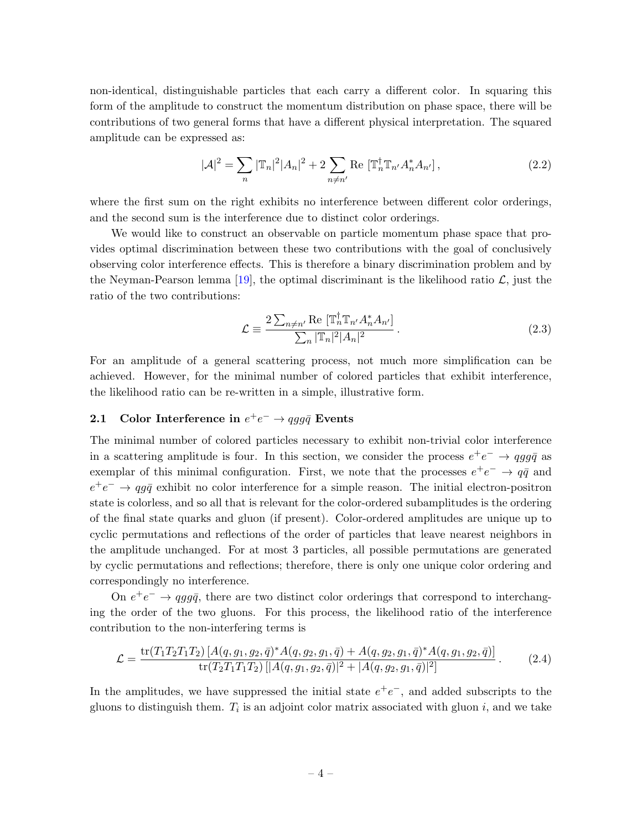non-identical, distinguishable particles that each carry a different color. In squaring this form of the amplitude to construct the momentum distribution on phase space, there will be contributions of two general forms that have a different physical interpretation. The squared amplitude can be expressed as:

$$
|\mathcal{A}|^2 = \sum_{n} |\mathbb{T}_n|^2 |A_n|^2 + 2 \sum_{n \neq n'} \text{Re} [\mathbb{T}_n^\dagger \mathbb{T}_{n'} A_n^* A_{n'}],
$$
 (2.2)

where the first sum on the right exhibits no interference between different color orderings, and the second sum is the interference due to distinct color orderings.

We would like to construct an observable on particle momentum phase space that provides optimal discrimination between these two contributions with the goal of conclusively observing color interference effects. This is therefore a binary discrimination problem and by the Neyman-Pearson lemma [\[19\]](#page-19-2), the optimal discriminant is the likelihood ratio  $\mathcal{L}$ , just the ratio of the two contributions:

$$
\mathcal{L} \equiv \frac{2\sum_{n\neq n'} \text{Re}\left[\mathbb{T}_n^\dagger \mathbb{T}_{n'} A_n^* A_{n'}\right]}{\sum_n |\mathbb{T}_n|^2 |A_n|^2} \,. \tag{2.3}
$$

For an amplitude of a general scattering process, not much more simplification can be achieved. However, for the minimal number of colored particles that exhibit interference, the likelihood ratio can be re-written in a simple, illustrative form.

## <span id="page-4-0"></span>2.1 Color Interference in  $e^+e^- \rightarrow qgg\bar{q}$  Events

The minimal number of colored particles necessary to exhibit non-trivial color interference in a scattering amplitude is four. In this section, we consider the process  $e^+e^- \rightarrow qgg\bar{q}$  as exemplar of this minimal configuration. First, we note that the processes  $e^+e^- \rightarrow q\bar{q}$  and  $e^+e^- \rightarrow qg\bar{q}$  exhibit no color interference for a simple reason. The initial electron-positron state is colorless, and so all that is relevant for the color-ordered subamplitudes is the ordering of the final state quarks and gluon (if present). Color-ordered amplitudes are unique up to cyclic permutations and reflections of the order of particles that leave nearest neighbors in the amplitude unchanged. For at most 3 particles, all possible permutations are generated by cyclic permutations and reflections; therefore, there is only one unique color ordering and correspondingly no interference.

On  $e^+e^- \rightarrow qgg\bar{q}$ , there are two distinct color orderings that correspond to interchanging the order of the two gluons. For this process, the likelihood ratio of the interference contribution to the non-interfering terms is

<span id="page-4-1"></span>
$$
\mathcal{L} = \frac{\text{tr}(T_1 T_2 T_1 T_2) [A(q, g_1, g_2, \bar{q})^* A(q, g_2, g_1, \bar{q}) + A(q, g_2, g_1, \bar{q})^* A(q, g_1, g_2, \bar{q})]}{\text{tr}(T_2 T_1 T_1 T_2) [|A(q, g_1, g_2, \bar{q})|^2 + |A(q, g_2, g_1, \bar{q})|^2]}.
$$
(2.4)

In the amplitudes, we have suppressed the initial state  $e^+e^-$ , and added subscripts to the gluons to distinguish them.  $T_i$  is an adjoint color matrix associated with gluon  $i$ , and we take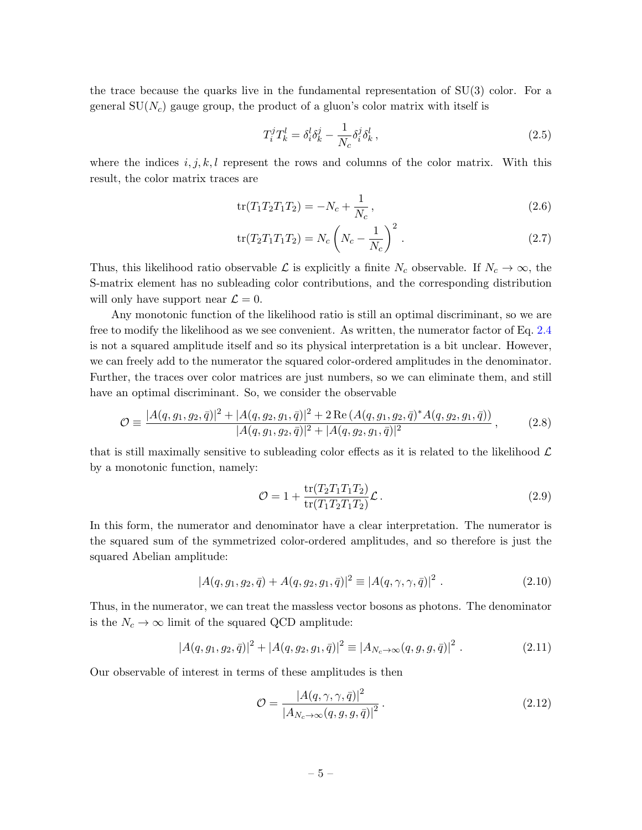the trace because the quarks live in the fundamental representation of SU(3) color. For a general  $SU(N_c)$  gauge group, the product of a gluon's color matrix with itself is

$$
T_i^j T_k^l = \delta_i^l \delta_k^j - \frac{1}{N_c} \delta_i^j \delta_k^l \,, \tag{2.5}
$$

where the indices  $i, j, k, l$  represent the rows and columns of the color matrix. With this result, the color matrix traces are

$$
\text{tr}(T_1 T_2 T_1 T_2) = -N_c + \frac{1}{N_c},\tag{2.6}
$$

$$
\text{tr}(T_2 T_1 T_1 T_2) = N_c \left( N_c - \frac{1}{N_c} \right)^2. \tag{2.7}
$$

Thus, this likelihood ratio observable L is explicitly a finite  $N_c$  observable. If  $N_c \to \infty$ , the S-matrix element has no subleading color contributions, and the corresponding distribution will only have support near  $\mathcal{L} = 0$ .

Any monotonic function of the likelihood ratio is still an optimal discriminant, so we are free to modify the likelihood as we see convenient. As written, the numerator factor of Eq. [2.4](#page-4-1) is not a squared amplitude itself and so its physical interpretation is a bit unclear. However, we can freely add to the numerator the squared color-ordered amplitudes in the denominator. Further, the traces over color matrices are just numbers, so we can eliminate them, and still have an optimal discriminant. So, we consider the observable

$$
\mathcal{O} \equiv \frac{|A(q, g_1, g_2, \bar{q})|^2 + |A(q, g_2, g_1, \bar{q})|^2 + 2 \operatorname{Re}\left(A(q, g_1, g_2, \bar{q})^* A(q, g_2, g_1, \bar{q})\right)}{|A(q, g_1, g_2, \bar{q})|^2 + |A(q, g_2, g_1, \bar{q})|^2},\tag{2.8}
$$

that is still maximally sensitive to subleading color effects as it is related to the likelihood  $\mathcal{L}$ by a monotonic function, namely:

$$
\mathcal{O} = 1 + \frac{\text{tr}(T_2 T_1 T_1 T_2)}{\text{tr}(T_1 T_2 T_1 T_2)} \mathcal{L}.
$$
\n(2.9)

In this form, the numerator and denominator have a clear interpretation. The numerator is the squared sum of the symmetrized color-ordered amplitudes, and so therefore is just the squared Abelian amplitude:

$$
|A(q, g_1, g_2, \bar{q}) + A(q, g_2, g_1, \bar{q})|^2 \equiv |A(q, \gamma, \gamma, \bar{q})|^2.
$$
 (2.10)

Thus, in the numerator, we can treat the massless vector bosons as photons. The denominator is the  $N_c \to \infty$  limit of the squared QCD amplitude:

$$
|A(q, g_1, g_2, \bar{q})|^2 + |A(q, g_2, g_1, \bar{q})|^2 \equiv |A_{N_c \to \infty}(q, g, g, \bar{q})|^2.
$$
 (2.11)

Our observable of interest in terms of these amplitudes is then

$$
\mathcal{O} = \frac{|A(q, \gamma, \gamma, \bar{q})|^2}{|A_{N_c \to \infty}(q, g, g, \bar{q})|^2}.
$$
\n(2.12)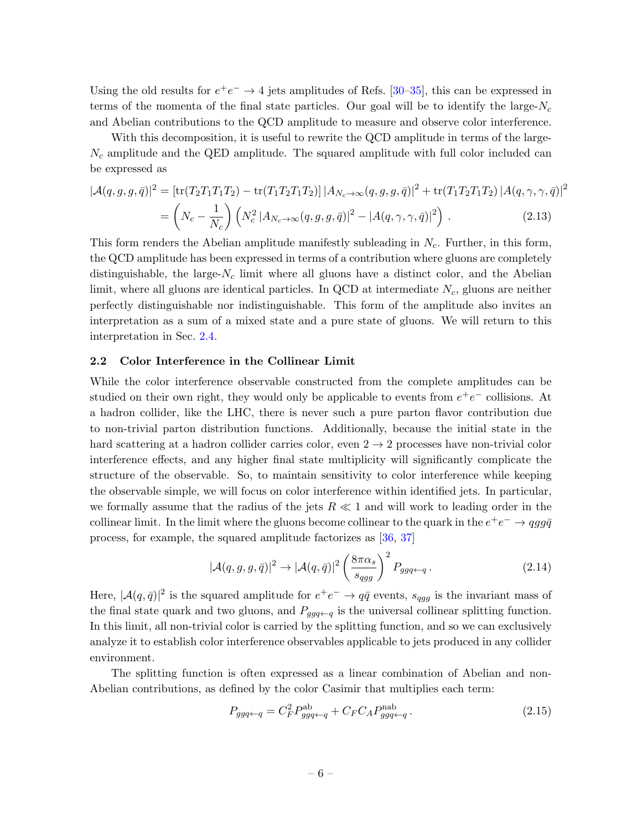Using the old results for  $e^+e^- \rightarrow 4$  jets amplitudes of Refs. [\[30–](#page-20-0)[35\]](#page-20-1), this can be expressed in terms of the momenta of the final state particles. Our goal will be to identify the large- $N_c$ and Abelian contributions to the QCD amplitude to measure and observe color interference.

With this decomposition, it is useful to rewrite the QCD amplitude in terms of the large- $N_c$  amplitude and the QED amplitude. The squared amplitude with full color included can be expressed as

<span id="page-6-1"></span>
$$
|\mathcal{A}(q,g,g,\bar{q})|^2 = [\text{tr}(T_2 T_1 T_1 T_2) - \text{tr}(T_1 T_2 T_1 T_2)] |A_{N_c \to \infty}(q,g,g,\bar{q})|^2 + \text{tr}(T_1 T_2 T_1 T_2) |A(q,\gamma,\gamma,\bar{q})|^2
$$
  
= 
$$
\left(N_c - \frac{1}{N_c}\right) \left(N_c^2 |A_{N_c \to \infty}(q,g,g,\bar{q})|^2 - |A(q,\gamma,\gamma,\bar{q})|^2\right).
$$
 (2.13)

This form renders the Abelian amplitude manifestly subleading in  $N_c$ . Further, in this form, the QCD amplitude has been expressed in terms of a contribution where gluons are completely distinguishable, the large- $N_c$  limit where all gluons have a distinct color, and the Abelian limit, where all gluons are identical particles. In QCD at intermediate  $N_c$ , gluons are neither perfectly distinguishable nor indistinguishable. This form of the amplitude also invites an interpretation as a sum of a mixed state and a pure state of gluons. We will return to this interpretation in Sec. [2.4.](#page-10-0)

### <span id="page-6-0"></span>2.2 Color Interference in the Collinear Limit

While the color interference observable constructed from the complete amplitudes can be studied on their own right, they would only be applicable to events from  $e^+e^-$  collisions. At a hadron collider, like the LHC, there is never such a pure parton flavor contribution due to non-trivial parton distribution functions. Additionally, because the initial state in the hard scattering at a hadron collider carries color, even  $2 \rightarrow 2$  processes have non-trivial color interference effects, and any higher final state multiplicity will significantly complicate the structure of the observable. So, to maintain sensitivity to color interference while keeping the observable simple, we will focus on color interference within identified jets. In particular, we formally assume that the radius of the jets  $R \ll 1$  and will work to leading order in the collinear limit. In the limit where the gluons become collinear to the quark in the  $e^+e^- \rightarrow qgg\bar{q}$ process, for example, the squared amplitude factorizes as [\[36,](#page-20-2) [37\]](#page-20-3)

$$
|\mathcal{A}(q,g,g,\bar{q})|^2 \to |\mathcal{A}(q,\bar{q})|^2 \left(\frac{8\pi\alpha_s}{s_{qgg}}\right)^2 P_{ggq\leftarrow q}.
$$
 (2.14)

Here,  $|\mathcal{A}(q,\bar{q})|^2$  is the squared amplitude for  $e^+e^- \to q\bar{q}$  events,  $s_{qgg}$  is the invariant mass of the final state quark and two gluons, and  $P_{ggq\leftarrow q}$  is the universal collinear splitting function. In this limit, all non-trivial color is carried by the splitting function, and so we can exclusively analyze it to establish color interference observables applicable to jets produced in any collider environment.

The splitting function is often expressed as a linear combination of Abelian and non-Abelian contributions, as defined by the color Casimir that multiplies each term:

<span id="page-6-2"></span>
$$
P_{ggq \leftarrow q} = C_F^2 P_{ggq \leftarrow q}^{\text{ab}} + C_F C_A P_{ggq \leftarrow q}^{\text{nab}}.
$$
\n(2.15)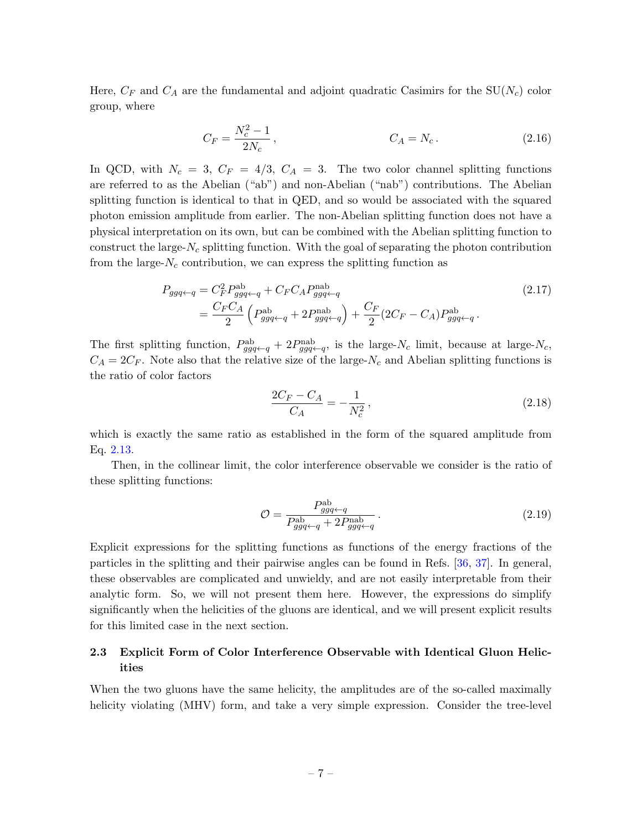Here,  $C_F$  and  $C_A$  are the fundamental and adjoint quadratic Casimirs for the SU( $N_c$ ) color group, where

$$
C_F = \frac{N_c^2 - 1}{2N_c}, \qquad C_A = N_c. \tag{2.16}
$$

In QCD, with  $N_c = 3$ ,  $C_F = 4/3$ ,  $C_A = 3$ . The two color channel splitting functions are referred to as the Abelian ("ab") and non-Abelian ("nab") contributions. The Abelian splitting function is identical to that in QED, and so would be associated with the squared photon emission amplitude from earlier. The non-Abelian splitting function does not have a physical interpretation on its own, but can be combined with the Abelian splitting function to construct the large- $N_c$  splitting function. With the goal of separating the photon contribution from the large- $N_c$  contribution, we can express the splitting function as

$$
P_{ggq\leftarrow q} = C_F^2 P_{ggq\leftarrow q}^{ab} + C_F C_A P_{ggq\leftarrow q}^{mab}
$$
  
= 
$$
\frac{C_F C_A}{2} \left( P_{ggq\leftarrow q}^{ab} + 2 P_{ggq\leftarrow q}^{mab} \right) + \frac{C_F}{2} (2C_F - C_A) P_{ggq\leftarrow q}^{ab}.
$$
 (2.17)

The first splitting function,  $P_{ggq\leftarrow q}^{ab} + 2P_{ggq\leftarrow q}^{nab}$ , is the large-N<sub>c</sub> limit, because at large-N<sub>c</sub>,  $C_A = 2C_F$ . Note also that the relative size of the large-N<sub>c</sub> and Abelian splitting functions is the ratio of color factors

<span id="page-7-2"></span>
$$
\frac{2C_F - C_A}{C_A} = -\frac{1}{N_c^2},\tag{2.18}
$$

which is exactly the same ratio as established in the form of the squared amplitude from Eq. [2.13.](#page-6-1)

Then, in the collinear limit, the color interference observable we consider is the ratio of these splitting functions:

<span id="page-7-1"></span>
$$
\mathcal{O} = \frac{P_{ggq\leftarrow q}^{\text{ab}}}{P_{ggq\leftarrow q}^{\text{ab}} + 2P_{ggq\leftarrow q}^{\text{ab}}}.
$$
\n(2.19)

Explicit expressions for the splitting functions as functions of the energy fractions of the particles in the splitting and their pairwise angles can be found in Refs. [\[36,](#page-20-2) [37\]](#page-20-3). In general, these observables are complicated and unwieldy, and are not easily interpretable from their analytic form. So, we will not present them here. However, the expressions do simplify significantly when the helicities of the gluons are identical, and we will present explicit results for this limited case in the next section.

### <span id="page-7-0"></span>2.3 Explicit Form of Color Interference Observable with Identical Gluon Helicities

When the two gluons have the same helicity, the amplitudes are of the so-called maximally helicity violating (MHV) form, and take a very simple expression. Consider the tree-level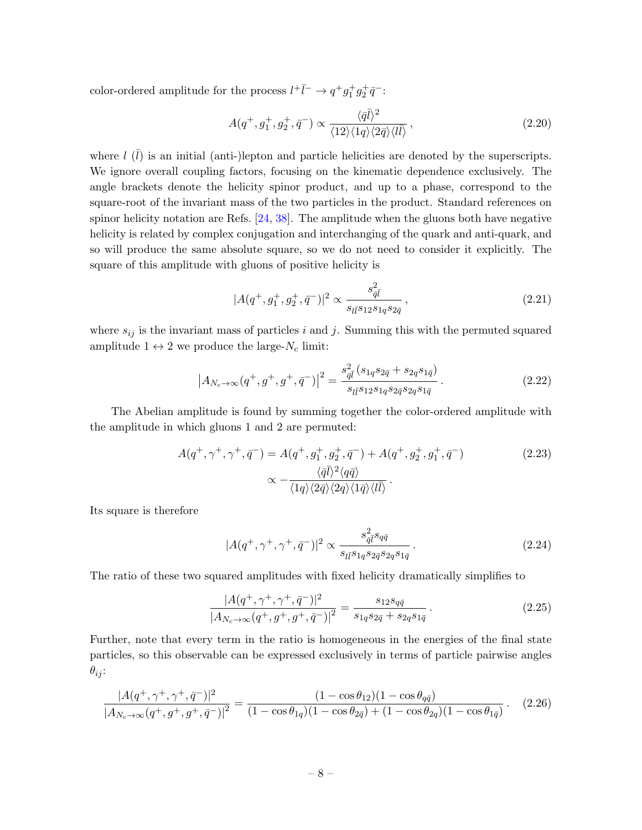color-ordered amplitude for the process  $l^+\bar{l}^- \rightarrow q^+g_1^+g_2^+\bar{q}^-$ :

$$
A(q^+,g_1^+,g_2^+,\bar{q}^-) \propto \frac{\langle \bar{q}\bar{l}\rangle^2}{\langle 12\rangle\langle 1q\rangle\langle 2\bar{q}\rangle\langle l\bar{l}\rangle},\qquad(2.20)
$$

where  $l(\bar{l})$  is an initial (anti-)lepton and particle helicities are denoted by the superscripts. We ignore overall coupling factors, focusing on the kinematic dependence exclusively. The angle brackets denote the helicity spinor product, and up to a phase, correspond to the square-root of the invariant mass of the two particles in the product. Standard references on spinor helicity notation are Refs. [\[24,](#page-19-4) [38\]](#page-20-4). The amplitude when the gluons both have negative helicity is related by complex conjugation and interchanging of the quark and anti-quark, and so will produce the same absolute square, so we do not need to consider it explicitly. The square of this amplitude with gluons of positive helicity is

$$
|A(q^+,g_1^+,g_2^+,\bar{q}^-)|^2 \propto \frac{s_{\bar{q}\bar{l}}^2}{s_{l\bar{l}}s_{12}s_{1q}s_{2\bar{q}}}\,,\tag{2.21}
$$

where  $s_{ij}$  is the invariant mass of particles i and j. Summing this with the permuted squared amplitude  $1 \leftrightarrow 2$  we produce the large- $N_c$  limit:

$$
\left| A_{N_c \to \infty}(q^+, g^+, g^+, \bar{q}^-) \right|^2 = \frac{s_{\bar{q}\bar{l}}^2 (s_{1q}s_{2\bar{q}} + s_{2q}s_{1\bar{q}})}{s_{l\bar{l}} s_{12} s_{1q} s_{2\bar{q}} s_{2q} s_{1\bar{q}}}.
$$
 (2.22)

The Abelian amplitude is found by summing together the color-ordered amplitude with the amplitude in which gluons 1 and 2 are permuted:

$$
A(q^+,\gamma^+,\tau^+,\bar{q}^-) = A(q^+,g_1^+,g_2^+,\bar{q}^-) + A(q^+,g_2^+,g_1^+,\bar{q}^-)
$$
\n
$$
\propto -\frac{\langle \bar{q}\bar{l}\rangle^2 \langle q\bar{q}\rangle}{\langle 1q\rangle \langle 2\bar{q}\rangle \langle 2q\rangle \langle 1\bar{q}\rangle \langle l\bar{l}\rangle}.
$$
\n(2.23)

Its square is therefore

$$
|A(q^+,\gamma^+,\gamma^+,\bar{q}^-)|^2 \propto \frac{s_{\bar{q}\bar{l}}^2 s_{q\bar{q}}}{s_{l\bar{l}} s_{1q} s_{2\bar{q}} s_{2q} s_{1\bar{q}}}.
$$
 (2.24)

The ratio of these two squared amplitudes with fixed helicity dramatically simplifies to

$$
\frac{|A(q^+,\gamma^+,\gamma^+,\bar{q}^-)|^2}{|A_{N_c\to\infty}(q^+,g^+,g^+,\bar{q}^-)|^2} = \frac{s_{12}s_{q\bar{q}}}{s_{1q}s_{2\bar{q}} + s_{2q}s_{1\bar{q}}}.
$$
\n(2.25)

Further, note that every term in the ratio is homogeneous in the energies of the final state particles, so this observable can be expressed exclusively in terms of particle pairwise angles  $\theta_{ij}$ :

$$
\frac{|A(q^+,\gamma^+,\gamma^+,\bar{q}^-)|^2}{|A_{N_c\to\infty}(q^+,g^+,g^+,\bar{q}^-)|^2} = \frac{(1-\cos\theta_{12})(1-\cos\theta_{q\bar{q}})}{(1-\cos\theta_{1q})(1-\cos\theta_{2\bar{q}})+(1-\cos\theta_{2q})(1-\cos\theta_{1\bar{q}})}.\tag{2.26}
$$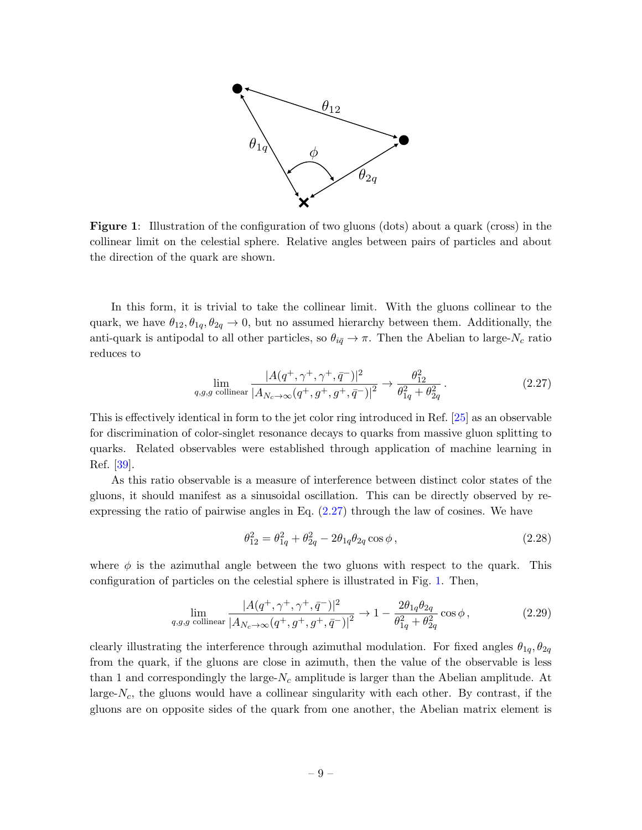<span id="page-9-1"></span>

Figure 1: Illustration of the configuration of two gluons (dots) about a quark (cross) in the collinear limit on the celestial sphere. Relative angles between pairs of particles and about the direction of the quark are shown.

In this form, it is trivial to take the collinear limit. With the gluons collinear to the quark, we have  $\theta_{12}, \theta_{1q}, \theta_{2q} \rightarrow 0$ , but no assumed hierarchy between them. Additionally, the anti-quark is antipodal to all other particles, so  $\theta_{i\bar{q}} \to \pi$ . Then the Abelian to large-N<sub>c</sub> ratio reduces to

$$
\lim_{q,g,g \text{ collinear}} \frac{|A(q^+,\gamma^+,\gamma^+,\bar{q}^-)|^2}{|A_{N_c\to\infty}(q^+,g^+,g^+,\bar{q}^-)|^2} \to \frac{\theta_{12}^2}{\theta_{1q}^2 + \theta_{2q}^2}.
$$
\n(2.27)

This is effectively identical in form to the jet color ring introduced in Ref. [\[25\]](#page-19-5) as an observable for discrimination of color-singlet resonance decays to quarks from massive gluon splitting to quarks. Related observables were established through application of machine learning in Ref. [\[39\]](#page-20-5).

As this ratio observable is a measure of interference between distinct color states of the gluons, it should manifest as a sinusoidal oscillation. This can be directly observed by reexpressing the ratio of pairwise angles in Eq. [\(2.27\)](#page-9-0) through the law of cosines. We have

<span id="page-9-0"></span>
$$
\theta_{12}^2 = \theta_{1q}^2 + \theta_{2q}^2 - 2\theta_{1q}\theta_{2q}\cos\phi\,,\tag{2.28}
$$

where  $\phi$  is the azimuthal angle between the two gluons with respect to the quark. This configuration of particles on the celestial sphere is illustrated in Fig. [1.](#page-9-1) Then,

$$
\lim_{q,g,g \text{ collinear}} \frac{|A(q^+,\gamma^+,\gamma^+,\bar{q}^-)|^2}{|A_{N_c\to\infty}(q^+,g^+,g^+,\bar{q}^-)|^2} \to 1 - \frac{2\theta_{1q}\theta_{2q}}{\theta_{1q}^2 + \theta_{2q}^2} \cos\phi,
$$
\n(2.29)

clearly illustrating the interference through azimuthal modulation. For fixed angles  $\theta_{1q}, \theta_{2q}$ from the quark, if the gluons are close in azimuth, then the value of the observable is less than 1 and correspondingly the large- $N_c$  amplitude is larger than the Abelian amplitude. At large- $N_c$ , the gluons would have a collinear singularity with each other. By contrast, if the gluons are on opposite sides of the quark from one another, the Abelian matrix element is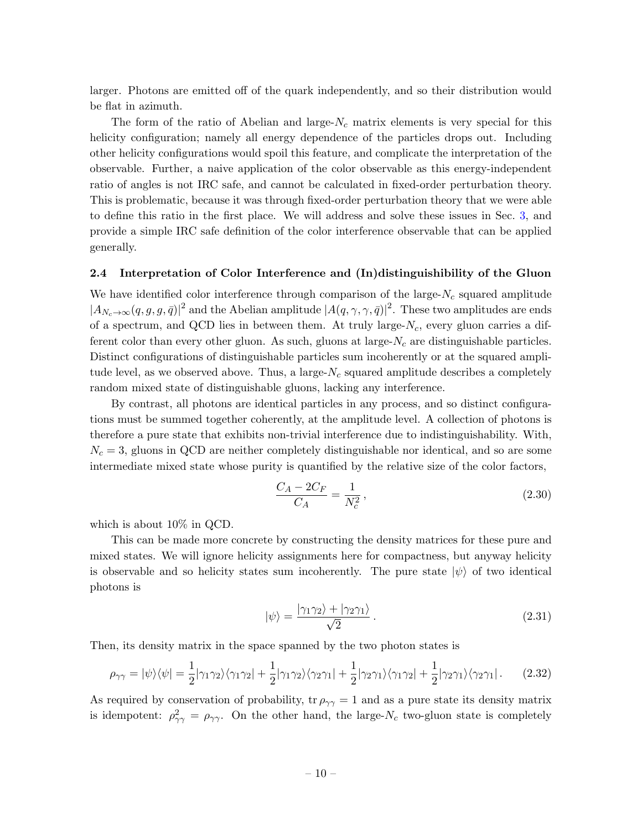larger. Photons are emitted off of the quark independently, and so their distribution would be flat in azimuth.

The form of the ratio of Abelian and large- $N_c$  matrix elements is very special for this helicity configuration; namely all energy dependence of the particles drops out. Including other helicity configurations would spoil this feature, and complicate the interpretation of the observable. Further, a naive application of the color observable as this energy-independent ratio of angles is not IRC safe, and cannot be calculated in fixed-order perturbation theory. This is problematic, because it was through fixed-order perturbation theory that we were able to define this ratio in the first place. We will address and solve these issues in Sec. [3,](#page-12-0) and provide a simple IRC safe definition of the color interference observable that can be applied generally.

### <span id="page-10-0"></span>2.4 Interpretation of Color Interference and (In)distinguishibility of the Gluon

We have identified color interference through comparison of the large- $N_c$  squared amplitude  $|A_{N_c\to\infty}(q,g,g,\bar{q})|^2$  and the Abelian amplitude  $|A(q,\gamma,\gamma,\bar{q})|^2$ . These two amplitudes are ends of a spectrum, and QCD lies in between them. At truly large- $N_c$ , every gluon carries a different color than every other gluon. As such, gluons at large- $N_c$  are distinguishable particles. Distinct configurations of distinguishable particles sum incoherently or at the squared amplitude level, as we observed above. Thus, a large- $N_c$  squared amplitude describes a completely random mixed state of distinguishable gluons, lacking any interference.

By contrast, all photons are identical particles in any process, and so distinct configurations must be summed together coherently, at the amplitude level. A collection of photons is therefore a pure state that exhibits non-trivial interference due to indistinguishability. With,  $N_c = 3$ , gluons in QCD are neither completely distinguishable nor identical, and so are some intermediate mixed state whose purity is quantified by the relative size of the color factors,

$$
\frac{C_A - 2C_F}{C_A} = \frac{1}{N_c^2},\tag{2.30}
$$

which is about 10% in QCD.

This can be made more concrete by constructing the density matrices for these pure and mixed states. We will ignore helicity assignments here for compactness, but anyway helicity is observable and so helicity states sum incoherently. The pure state  $|\psi\rangle$  of two identical photons is

$$
|\psi\rangle = \frac{|\gamma_1 \gamma_2\rangle + |\gamma_2 \gamma_1\rangle}{\sqrt{2}}.
$$
\n(2.31)

Then, its density matrix in the space spanned by the two photon states is

$$
\rho_{\gamma\gamma} = |\psi\rangle\langle\psi| = \frac{1}{2} |\gamma_1 \gamma_2\rangle\langle\gamma_1 \gamma_2| + \frac{1}{2} |\gamma_1 \gamma_2\rangle\langle\gamma_2 \gamma_1| + \frac{1}{2} |\gamma_2 \gamma_1\rangle\langle\gamma_1 \gamma_2| + \frac{1}{2} |\gamma_2 \gamma_1\rangle\langle\gamma_2 \gamma_1|.
$$
 (2.32)

As required by conservation of probability, tr  $\rho_{\gamma\gamma} = 1$  and as a pure state its density matrix is idempotent:  $\rho_{\gamma\gamma}^2 = \rho_{\gamma\gamma}$ . On the other hand, the large-N<sub>c</sub> two-gluon state is completely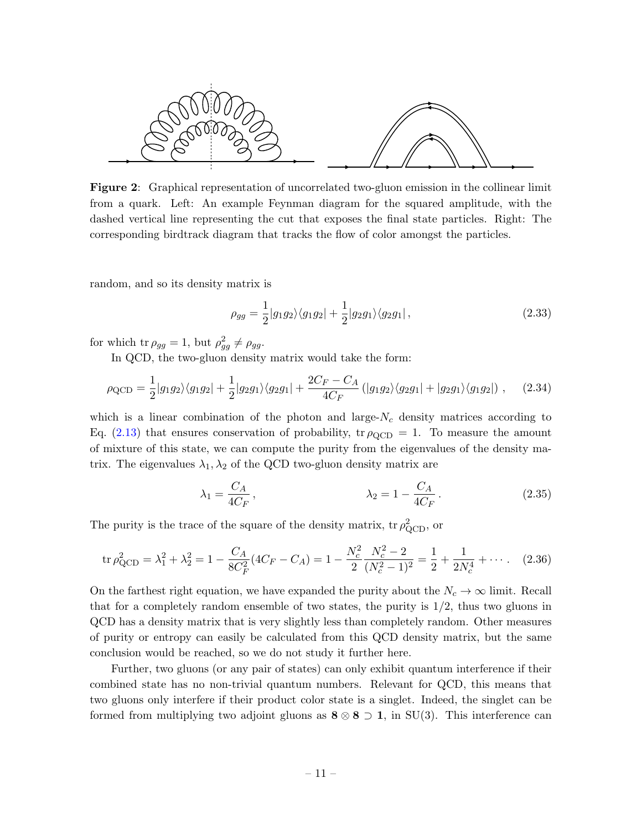<span id="page-11-0"></span>

Figure 2: Graphical representation of uncorrelated two-gluon emission in the collinear limit from a quark. Left: An example Feynman diagram for the squared amplitude, with the dashed vertical line representing the cut that exposes the final state particles. Right: The corresponding birdtrack diagram that tracks the flow of color amongst the particles.

random, and so its density matrix is

$$
\rho_{gg} = \frac{1}{2} |g_1 g_2\rangle \langle g_1 g_2| + \frac{1}{2} |g_2 g_1\rangle \langle g_2 g_1|, \qquad (2.33)
$$

for which tr  $\rho_{gg} = 1$ , but  $\rho_{gg}^2 \neq \rho_{gg}$ .

In QCD, the two-gluon density matrix would take the form:

$$
\rho_{\rm QCD} = \frac{1}{2} |g_1 g_2\rangle \langle g_1 g_2| + \frac{1}{2} |g_2 g_1\rangle \langle g_2 g_1| + \frac{2C_F - C_A}{4C_F} (|g_1 g_2\rangle \langle g_2 g_1| + |g_2 g_1\rangle \langle g_1 g_2|) , \quad (2.34)
$$

which is a linear combination of the photon and large- $N_c$  density matrices according to Eq. [\(2.13\)](#page-6-1) that ensures conservation of probability, tr  $\rho_{\rm QCD} = 1$ . To measure the amount of mixture of this state, we can compute the purity from the eigenvalues of the density matrix. The eigenvalues  $\lambda_1, \lambda_2$  of the QCD two-gluon density matrix are

$$
\lambda_1 = \frac{C_A}{4C_F},
$$
\n $\lambda_2 = 1 - \frac{C_A}{4C_F}.$ \n(2.35)

The purity is the trace of the square of the density matrix,  $\text{tr } \rho_{\text{QCD}}^2$ , or

$$
\text{tr}\,\rho_{\text{QCD}}^2 = \lambda_1^2 + \lambda_2^2 = 1 - \frac{C_A}{8C_F^2}(4C_F - C_A) = 1 - \frac{N_c^2}{2}\frac{N_c^2 - 2}{(N_c^2 - 1)^2} = \frac{1}{2} + \frac{1}{2N_c^4} + \cdots. \tag{2.36}
$$

On the farthest right equation, we have expanded the purity about the  $N_c \to \infty$  limit. Recall that for a completely random ensemble of two states, the purity is  $1/2$ , thus two gluons in QCD has a density matrix that is very slightly less than completely random. Other measures of purity or entropy can easily be calculated from this QCD density matrix, but the same conclusion would be reached, so we do not study it further here.

Further, two gluons (or any pair of states) can only exhibit quantum interference if their combined state has no non-trivial quantum numbers. Relevant for QCD, this means that two gluons only interfere if their product color state is a singlet. Indeed, the singlet can be formed from multiplying two adjoint gluons as  $\mathbf{8} \otimes \mathbf{8} \supset \mathbf{1}$ , in SU(3). This interference can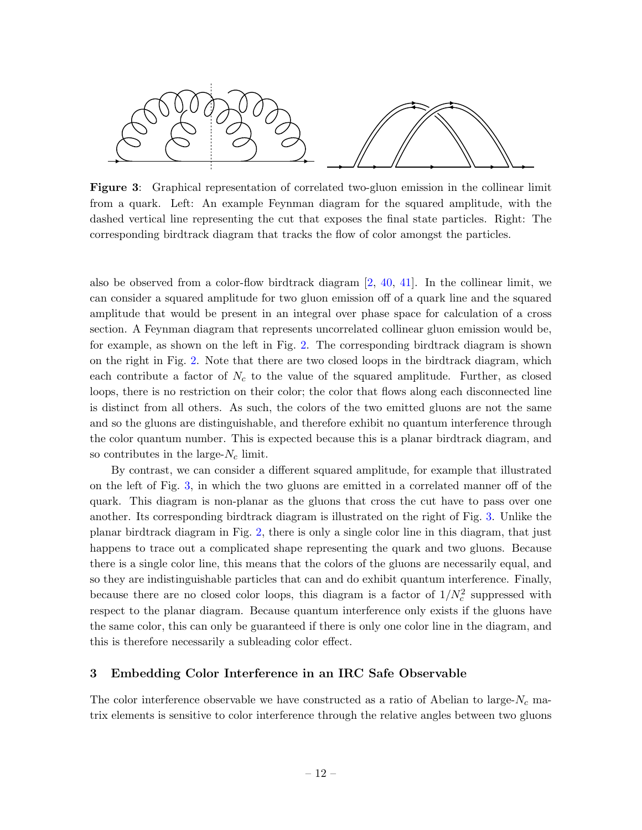<span id="page-12-1"></span>

Figure 3: Graphical representation of correlated two-gluon emission in the collinear limit from a quark. Left: An example Feynman diagram for the squared amplitude, with the dashed vertical line representing the cut that exposes the final state particles. Right: The corresponding birdtrack diagram that tracks the flow of color amongst the particles.

also be observed from a color-flow birdtrack diagram  $[2, 40, 41]$  $[2, 40, 41]$  $[2, 40, 41]$  $[2, 40, 41]$  $[2, 40, 41]$ . In the collinear limit, we can consider a squared amplitude for two gluon emission off of a quark line and the squared amplitude that would be present in an integral over phase space for calculation of a cross section. A Feynman diagram that represents uncorrelated collinear gluon emission would be, for example, as shown on the left in Fig. [2.](#page-11-0) The corresponding birdtrack diagram is shown on the right in Fig. [2.](#page-11-0) Note that there are two closed loops in the birdtrack diagram, which each contribute a factor of  $N_c$  to the value of the squared amplitude. Further, as closed loops, there is no restriction on their color; the color that flows along each disconnected line is distinct from all others. As such, the colors of the two emitted gluons are not the same and so the gluons are distinguishable, and therefore exhibit no quantum interference through the color quantum number. This is expected because this is a planar birdtrack diagram, and so contributes in the large- $N_c$  limit.

By contrast, we can consider a different squared amplitude, for example that illustrated on the left of Fig. [3,](#page-12-1) in which the two gluons are emitted in a correlated manner off of the quark. This diagram is non-planar as the gluons that cross the cut have to pass over one another. Its corresponding birdtrack diagram is illustrated on the right of Fig. [3.](#page-12-1) Unlike the planar birdtrack diagram in Fig. [2,](#page-11-0) there is only a single color line in this diagram, that just happens to trace out a complicated shape representing the quark and two gluons. Because there is a single color line, this means that the colors of the gluons are necessarily equal, and so they are indistinguishable particles that can and do exhibit quantum interference. Finally, because there are no closed color loops, this diagram is a factor of  $1/N_c^2$  suppressed with respect to the planar diagram. Because quantum interference only exists if the gluons have the same color, this can only be guaranteed if there is only one color line in the diagram, and this is therefore necessarily a subleading color effect.

### <span id="page-12-0"></span>3 Embedding Color Interference in an IRC Safe Observable

The color interference observable we have constructed as a ratio of Abelian to large- $N_c$  matrix elements is sensitive to color interference through the relative angles between two gluons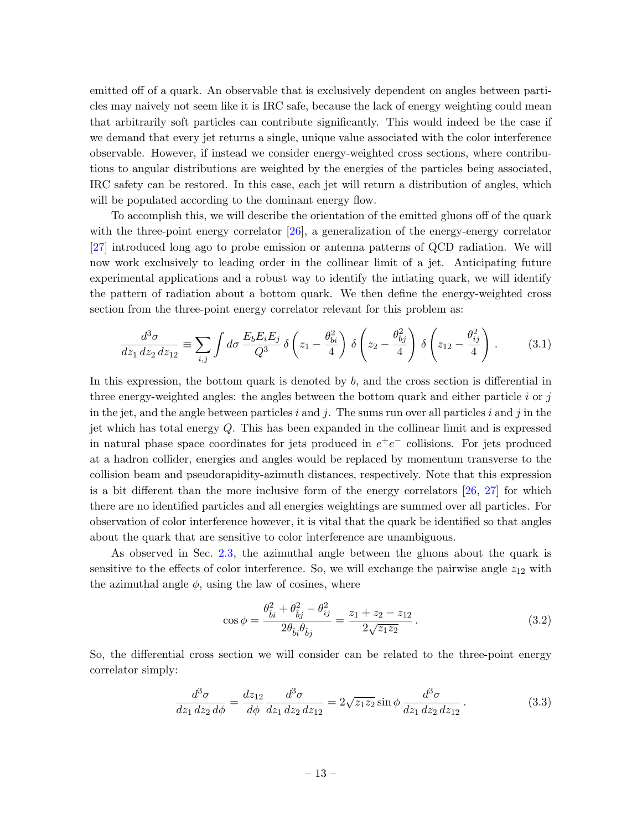emitted off of a quark. An observable that is exclusively dependent on angles between particles may naively not seem like it is IRC safe, because the lack of energy weighting could mean that arbitrarily soft particles can contribute significantly. This would indeed be the case if we demand that every jet returns a single, unique value associated with the color interference observable. However, if instead we consider energy-weighted cross sections, where contributions to angular distributions are weighted by the energies of the particles being associated, IRC safety can be restored. In this case, each jet will return a distribution of angles, which will be populated according to the dominant energy flow.

To accomplish this, we will describe the orientation of the emitted gluons off of the quark with the three-point energy correlator  $[26]$ , a generalization of the energy-energy correlator [\[27\]](#page-19-7) introduced long ago to probe emission or antenna patterns of QCD radiation. We will now work exclusively to leading order in the collinear limit of a jet. Anticipating future experimental applications and a robust way to identify the intiating quark, we will identify the pattern of radiation about a bottom quark. We then define the energy-weighted cross section from the three-point energy correlator relevant for this problem as:

$$
\frac{d^3\sigma}{dz_1\,dz_2\,dz_{12}} \equiv \sum_{i,j} \int d\sigma \, \frac{E_b E_i E_j}{Q^3} \, \delta\left(z_1 - \frac{\theta_{bi}^2}{4}\right) \, \delta\left(z_2 - \frac{\theta_{bj}^2}{4}\right) \, \delta\left(z_{12} - \frac{\theta_{ij}^2}{4}\right) \,. \tag{3.1}
$$

In this expression, the bottom quark is denoted by  $b$ , and the cross section is differential in three energy-weighted angles: the angles between the bottom quark and either particle  $i$  or  $j$ in the jet, and the angle between particles i and j. The sums run over all particles i and j in the jet which has total energy  $Q$ . This has been expanded in the collinear limit and is expressed in natural phase space coordinates for jets produced in  $e^+e^-$  collisions. For jets produced at a hadron collider, energies and angles would be replaced by momentum transverse to the collision beam and pseudorapidity-azimuth distances, respectively. Note that this expression is a bit different than the more inclusive form of the energy correlators  $[26, 27]$  $[26, 27]$  $[26, 27]$  for which there are no identified particles and all energies weightings are summed over all particles. For observation of color interference however, it is vital that the quark be identified so that angles about the quark that are sensitive to color interference are unambiguous.

As observed in Sec. [2.3,](#page-7-0) the azimuthal angle between the gluons about the quark is sensitive to the effects of color interference. So, we will exchange the pairwise angle  $z_{12}$  with the azimuthal angle  $\phi$ , using the law of cosines, where

$$
\cos \phi = \frac{\theta_{\hat{b}i}^2 + \theta_{\hat{b}j}^2 - \theta_{ij}^2}{2\theta_{\hat{b}i}\theta_{\hat{b}j}} = \frac{z_1 + z_2 - z_{12}}{2\sqrt{z_1 z_2}}.
$$
\n(3.2)

So, the differential cross section we will consider can be related to the three-point energy correlator simply:

$$
\frac{d^3\sigma}{dz_1\,dz_2\,d\phi} = \frac{dz_{12}}{d\phi}\frac{d^3\sigma}{dz_1\,dz_2\,dz_{12}} = 2\sqrt{z_1z_2}\sin\phi\,\frac{d^3\sigma}{dz_1\,dz_2\,dz_{12}}.\tag{3.3}
$$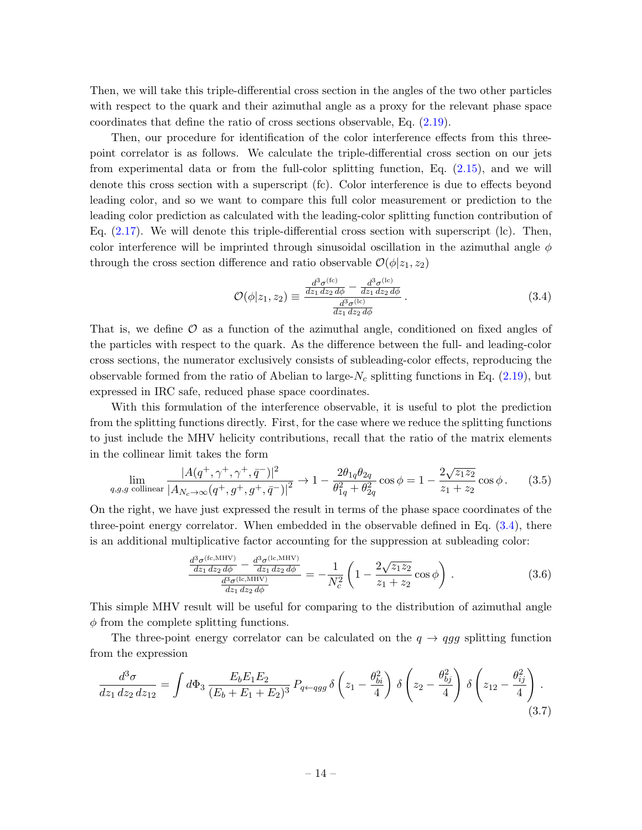Then, we will take this triple-differential cross section in the angles of the two other particles with respect to the quark and their azimuthal angle as a proxy for the relevant phase space coordinates that define the ratio of cross sections observable, Eq.  $(2.19)$ .

Then, our procedure for identification of the color interference effects from this threepoint correlator is as follows. We calculate the triple-differential cross section on our jets from experimental data or from the full-color splitting function, Eq. [\(2.15\)](#page-6-2), and we will denote this cross section with a superscript (fc). Color interference is due to effects beyond leading color, and so we want to compare this full color measurement or prediction to the leading color prediction as calculated with the leading-color splitting function contribution of Eq.  $(2.17)$ . We will denote this triple-differential cross section with superscript  $(lc)$ . Then, color interference will be imprinted through sinusoidal oscillation in the azimuthal angle  $\phi$ through the cross section difference and ratio observable  $\mathcal{O}(\phi|z_1, z_2)$ 

<span id="page-14-0"></span>
$$
\mathcal{O}(\phi|z_1, z_2) \equiv \frac{\frac{d^3 \sigma^{(\text{fc})}}{dz_1 \, dz_2 \, d\phi} - \frac{d^3 \sigma^{(\text{lc})}}{dz_1 \, dz_2 \, d\phi}}{\frac{d^3 \sigma^{(\text{lc})}}{dz_1 \, dz_2 \, d\phi}}.
$$
(3.4)

That is, we define  $\mathcal O$  as a function of the azimuthal angle, conditioned on fixed angles of the particles with respect to the quark. As the difference between the full- and leading-color cross sections, the numerator exclusively consists of subleading-color effects, reproducing the observable formed from the ratio of Abelian to large- $N_c$  splitting functions in Eq. [\(2.19\)](#page-7-1), but expressed in IRC safe, reduced phase space coordinates.

With this formulation of the interference observable, it is useful to plot the prediction from the splitting functions directly. First, for the case where we reduce the splitting functions to just include the MHV helicity contributions, recall that the ratio of the matrix elements in the collinear limit takes the form

$$
\lim_{q,g,g \text{ collinear}} \frac{|A(q^+,\gamma^+,\gamma^+,\bar{q}^-)|^2}{|A_{N_c\to\infty}(q^+,g^+,\bar{q}^+)|^2} \to 1 - \frac{2\theta_{1q}\theta_{2q}}{\theta_{1q}^2 + \theta_{2q}^2} \cos\phi = 1 - \frac{2\sqrt{z_1 z_2}}{z_1 + z_2} \cos\phi. \tag{3.5}
$$

On the right, we have just expressed the result in terms of the phase space coordinates of the three-point energy correlator. When embedded in the observable defined in Eq. [\(3.4\)](#page-14-0), there is an additional multiplicative factor accounting for the suppression at subleading color:

<span id="page-14-1"></span>
$$
\frac{\frac{d^3\sigma^{(\text{fc,MHV})}}{dz_1\,dz_2\,d\phi} - \frac{d^3\sigma^{(\text{lc,MHV})}}{dz_1\,dz_2\,d\phi}}{\frac{d^3\sigma^{(\text{lc,MHV})}}{dz_1\,dz_2\,d\phi}} = -\frac{1}{N_c^2} \left(1 - \frac{2\sqrt{z_1z_2}}{z_1 + z_2}\cos\phi\right) . \tag{3.6}
$$

This simple MHV result will be useful for comparing to the distribution of azimuthal angle  $\phi$  from the complete splitting functions.

The three-point energy correlator can be calculated on the  $q \rightarrow qgg$  splitting function from the expression

$$
\frac{d^3\sigma}{dz_1\,dz_2\,dz_{12}} = \int d\Phi_3 \, \frac{E_b E_1 E_2}{(E_b + E_1 + E_2)^3} \, P_{q \leftarrow qgg} \, \delta\left(z_1 - \frac{\theta_{bi}^2}{4}\right) \, \delta\left(z_2 - \frac{\theta_{bj}^2}{4}\right) \, \delta\left(z_{12} - \frac{\theta_{ij}^2}{4}\right) \,. \tag{3.7}
$$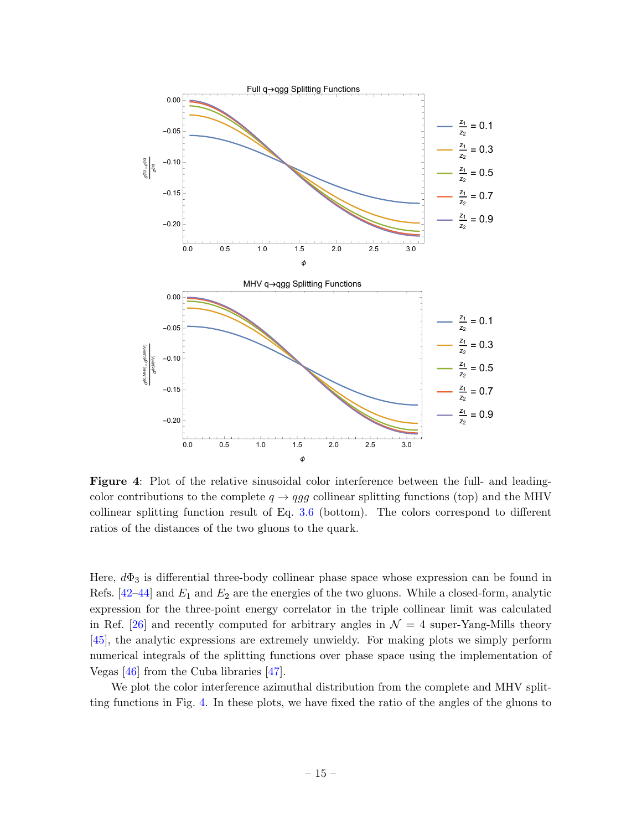<span id="page-15-0"></span>

Figure 4: Plot of the relative sinusoidal color interference between the full- and leadingcolor contributions to the complete  $q \rightarrow qgg$  collinear splitting functions (top) and the MHV collinear splitting function result of Eq. [3.6](#page-14-1) (bottom). The colors correspond to different ratios of the distances of the two gluons to the quark.

Here,  $d\Phi_3$  is differential three-body collinear phase space whose expression can be found in Refs.  $[42-44]$  $[42-44]$  and  $E_1$  and  $E_2$  are the energies of the two gluons. While a closed-form, analytic expression for the three-point energy correlator in the triple collinear limit was calculated in Ref. [\[26\]](#page-19-6) and recently computed for arbitrary angles in  $\mathcal{N} = 4$  super-Yang-Mills theory [\[45\]](#page-20-10), the analytic expressions are extremely unwieldy. For making plots we simply perform numerical integrals of the splitting functions over phase space using the implementation of Vegas [\[46\]](#page-20-11) from the Cuba libraries [\[47\]](#page-20-12).

We plot the color interference azimuthal distribution from the complete and MHV splitting functions in Fig. [4.](#page-15-0) In these plots, we have fixed the ratio of the angles of the gluons to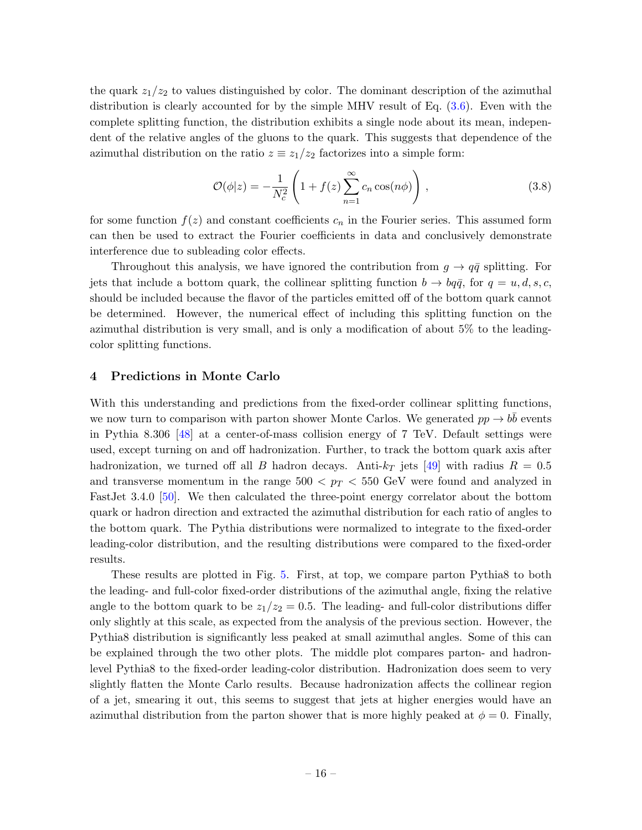the quark  $z_1/z_2$  to values distinguished by color. The dominant description of the azimuthal distribution is clearly accounted for by the simple MHV result of Eq. [\(3.6\)](#page-14-1). Even with the complete splitting function, the distribution exhibits a single node about its mean, independent of the relative angles of the gluons to the quark. This suggests that dependence of the azimuthal distribution on the ratio  $z \equiv z_1/z_2$  factorizes into a simple form:

$$
\mathcal{O}(\phi|z) = -\frac{1}{N_c^2} \left( 1 + f(z) \sum_{n=1}^{\infty} c_n \cos(n\phi) \right), \qquad (3.8)
$$

for some function  $f(z)$  and constant coefficients  $c_n$  in the Fourier series. This assumed form can then be used to extract the Fourier coefficients in data and conclusively demonstrate interference due to subleading color effects.

Throughout this analysis, we have ignored the contribution from  $g \to q\bar{q}$  splitting. For jets that include a bottom quark, the collinear splitting function  $b \to b q \bar{q}$ , for  $q = u, d, s, c$ , should be included because the flavor of the particles emitted off of the bottom quark cannot be determined. However, the numerical effect of including this splitting function on the azimuthal distribution is very small, and is only a modification of about 5% to the leadingcolor splitting functions.

### <span id="page-16-0"></span>4 Predictions in Monte Carlo

With this understanding and predictions from the fixed-order collinear splitting functions, we now turn to comparison with parton shower Monte Carlos. We generated  $pp \to b\bar{b}$  events in Pythia 8.306 [\[48\]](#page-20-13) at a center-of-mass collision energy of 7 TeV. Default settings were used, except turning on and off hadronization. Further, to track the bottom quark axis after hadronization, we turned off all B hadron decays. Anti- $k_T$  jets [\[49\]](#page-21-0) with radius  $R = 0.5$ and transverse momentum in the range  $500 < p_T < 550$  GeV were found and analyzed in FastJet 3.4.0 [\[50\]](#page-21-1). We then calculated the three-point energy correlator about the bottom quark or hadron direction and extracted the azimuthal distribution for each ratio of angles to the bottom quark. The Pythia distributions were normalized to integrate to the fixed-order leading-color distribution, and the resulting distributions were compared to the fixed-order results.

These results are plotted in Fig. [5.](#page-22-0) First, at top, we compare parton Pythia8 to both the leading- and full-color fixed-order distributions of the azimuthal angle, fixing the relative angle to the bottom quark to be  $z_1/z_2 = 0.5$ . The leading- and full-color distributions differ only slightly at this scale, as expected from the analysis of the previous section. However, the Pythia8 distribution is significantly less peaked at small azimuthal angles. Some of this can be explained through the two other plots. The middle plot compares parton- and hadronlevel Pythia8 to the fixed-order leading-color distribution. Hadronization does seem to very slightly flatten the Monte Carlo results. Because hadronization affects the collinear region of a jet, smearing it out, this seems to suggest that jets at higher energies would have an azimuthal distribution from the parton shower that is more highly peaked at  $\phi = 0$ . Finally,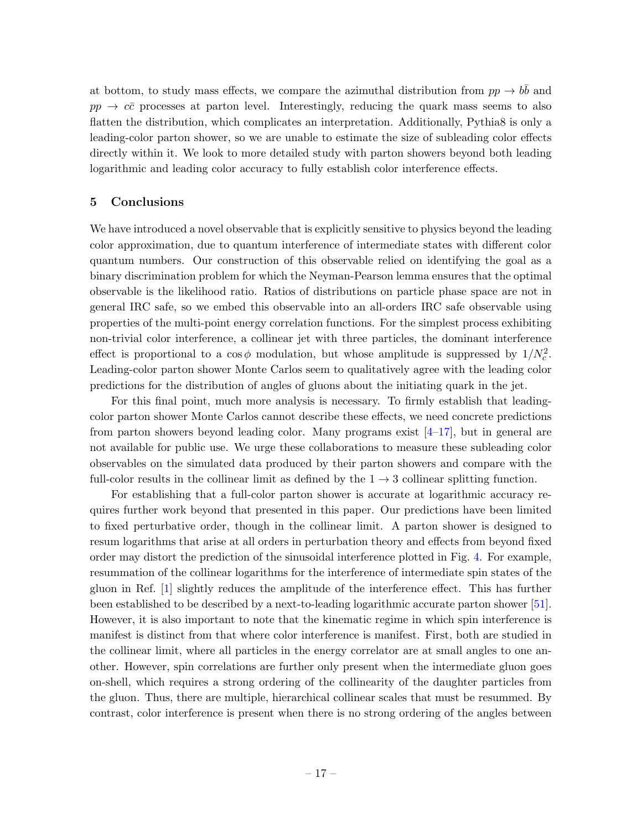at bottom, to study mass effects, we compare the azimuthal distribution from  $pp \to b\bar{b}$  and  $pp \rightarrow c\bar{c}$  processes at parton level. Interestingly, reducing the quark mass seems to also flatten the distribution, which complicates an interpretation. Additionally, Pythia8 is only a leading-color parton shower, so we are unable to estimate the size of subleading color effects directly within it. We look to more detailed study with parton showers beyond both leading logarithmic and leading color accuracy to fully establish color interference effects.

### <span id="page-17-0"></span>5 Conclusions

We have introduced a novel observable that is explicitly sensitive to physics beyond the leading color approximation, due to quantum interference of intermediate states with different color quantum numbers. Our construction of this observable relied on identifying the goal as a binary discrimination problem for which the Neyman-Pearson lemma ensures that the optimal observable is the likelihood ratio. Ratios of distributions on particle phase space are not in general IRC safe, so we embed this observable into an all-orders IRC safe observable using properties of the multi-point energy correlation functions. For the simplest process exhibiting non-trivial color interference, a collinear jet with three particles, the dominant interference effect is proportional to a  $\cos \phi$  modulation, but whose amplitude is suppressed by  $1/N_c^2$ . Leading-color parton shower Monte Carlos seem to qualitatively agree with the leading color predictions for the distribution of angles of gluons about the initiating quark in the jet.

For this final point, much more analysis is necessary. To firmly establish that leadingcolor parton shower Monte Carlos cannot describe these effects, we need concrete predictions from parton showers beyond leading color. Many programs exist  $[4-17]$  $[4-17]$ , but in general are not available for public use. We urge these collaborations to measure these subleading color observables on the simulated data produced by their parton showers and compare with the full-color results in the collinear limit as defined by the  $1 \rightarrow 3$  collinear splitting function.

For establishing that a full-color parton shower is accurate at logarithmic accuracy requires further work beyond that presented in this paper. Our predictions have been limited to fixed perturbative order, though in the collinear limit. A parton shower is designed to resum logarithms that arise at all orders in perturbation theory and effects from beyond fixed order may distort the prediction of the sinusoidal interference plotted in Fig. [4.](#page-15-0) For example, resummation of the collinear logarithms for the interference of intermediate spin states of the gluon in Ref. [\[1\]](#page-18-0) slightly reduces the amplitude of the interference effect. This has further been established to be described by a next-to-leading logarithmic accurate parton shower [\[51\]](#page-21-2). However, it is also important to note that the kinematic regime in which spin interference is manifest is distinct from that where color interference is manifest. First, both are studied in the collinear limit, where all particles in the energy correlator are at small angles to one another. However, spin correlations are further only present when the intermediate gluon goes on-shell, which requires a strong ordering of the collinearity of the daughter particles from the gluon. Thus, there are multiple, hierarchical collinear scales that must be resummed. By contrast, color interference is present when there is no strong ordering of the angles between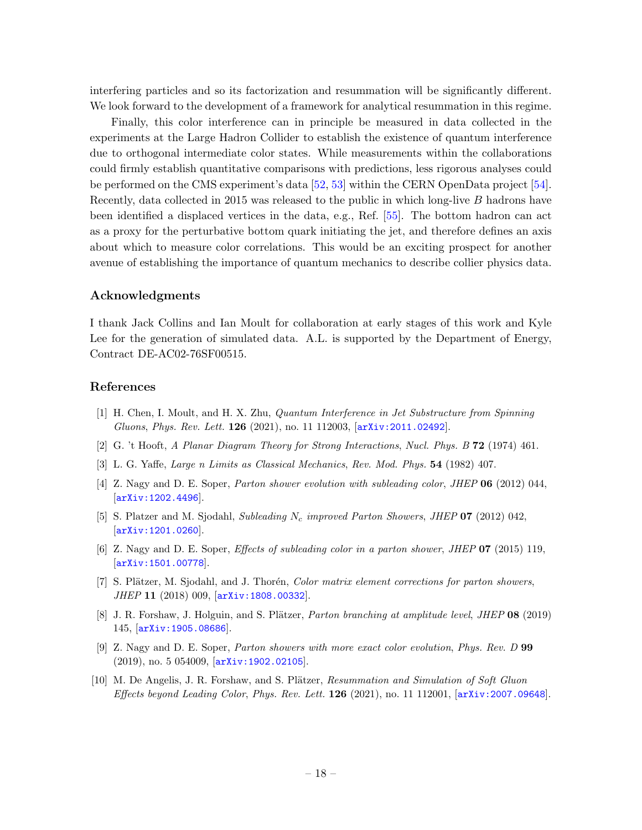interfering particles and so its factorization and resummation will be significantly different. We look forward to the development of a framework for analytical resummation in this regime.

Finally, this color interference can in principle be measured in data collected in the experiments at the Large Hadron Collider to establish the existence of quantum interference due to orthogonal intermediate color states. While measurements within the collaborations could firmly establish quantitative comparisons with predictions, less rigorous analyses could be performed on the CMS experiment's data [\[52,](#page-21-3) [53\]](#page-21-4) within the CERN OpenData project [\[54\]](#page-21-5). Recently, data collected in 2015 was released to the public in which long-live B hadrons have been identified a displaced vertices in the data, e.g., Ref. [\[55\]](#page-21-6). The bottom hadron can act as a proxy for the perturbative bottom quark initiating the jet, and therefore defines an axis about which to measure color correlations. This would be an exciting prospect for another avenue of establishing the importance of quantum mechanics to describe collier physics data.

#### Acknowledgments

I thank Jack Collins and Ian Moult for collaboration at early stages of this work and Kyle Lee for the generation of simulated data. A.L. is supported by the Department of Energy, Contract DE-AC02-76SF00515.

### References

- <span id="page-18-0"></span>[1] H. Chen, I. Moult, and H. X. Zhu, Quantum Interference in Jet Substructure from Spinning Gluons, Phys. Rev. Lett. 126 (2021), no. 11 112003, [[arXiv:2011.02492](http://arxiv.org/abs/2011.02492)].
- <span id="page-18-1"></span>[2] G. 't Hooft, A Planar Diagram Theory for Strong Interactions, Nucl. Phys. B 72 (1974) 461.
- <span id="page-18-2"></span>[3] L. G. Yaffe, Large n Limits as Classical Mechanics, Rev. Mod. Phys. 54 (1982) 407.
- <span id="page-18-3"></span>[4] Z. Nagy and D. E. Soper, Parton shower evolution with subleading color, JHEP 06 (2012) 044, [[arXiv:1202.4496](http://arxiv.org/abs/1202.4496)].
- [5] S. Platzer and M. Sjodahl, Subleading  $N_c$  improved Parton Showers, JHEP 07 (2012) 042, [[arXiv:1201.0260](http://arxiv.org/abs/1201.0260)].
- [6] Z. Nagy and D. E. Soper, Effects of subleading color in a parton shower, JHEP 07 (2015) 119, [[arXiv:1501.00778](http://arxiv.org/abs/1501.00778)].
- [7] S. Plätzer, M. Sjodahl, and J. Thorén, *Color matrix element corrections for parton showers*, JHEP 11 (2018) 009, [[arXiv:1808.00332](http://arxiv.org/abs/1808.00332)].
- [8] J. R. Forshaw, J. Holguin, and S. Plätzer, *Parton branching at amplitude level, JHEP* 08 (2019) 145, [[arXiv:1905.08686](http://arxiv.org/abs/1905.08686)].
- [9] Z. Nagy and D. E. Soper, Parton showers with more exact color evolution, Phys. Rev. D 99 (2019), no. 5 054009, [[arXiv:1902.02105](http://arxiv.org/abs/1902.02105)].
- [10] M. De Angelis, J. R. Forshaw, and S. Plätzer, Resummation and Simulation of Soft Gluon Effects beyond Leading Color, Phys. Rev. Lett.  $126$  (2021), no. 11 112001,  $arXiv:2007.09648$ .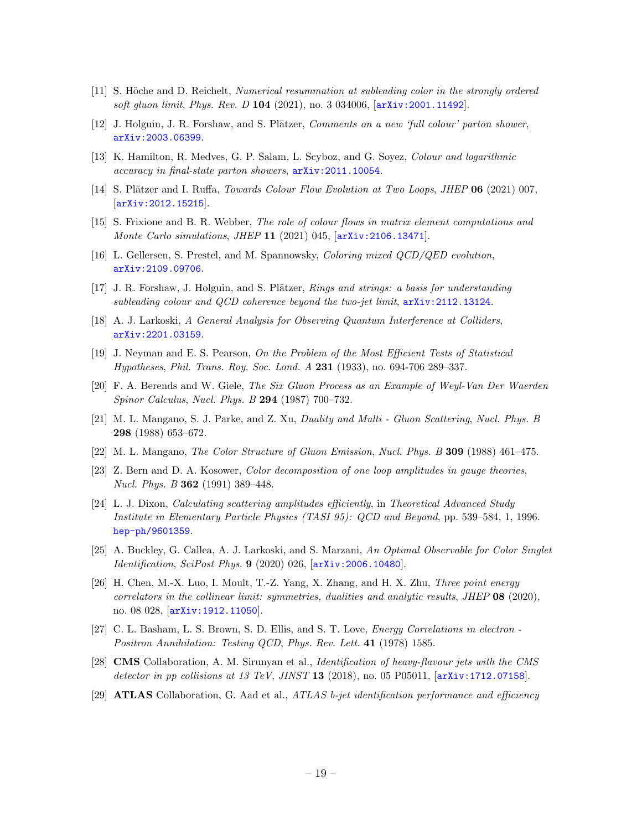- [11] S. Höche and D. Reichelt, *Numerical resummation at subleading color in the strongly ordered* soft gluon limit, Phys. Rev. D 104 (2021), no. 3 034006,  $[arXiv:2001.11492]$  $[arXiv:2001.11492]$  $[arXiv:2001.11492]$ .
- [12] J. Holguin, J. R. Forshaw, and S. Plätzer, *Comments on a new 'full colour' parton shower*, [arXiv:2003.06399](http://arxiv.org/abs/2003.06399).
- [13] K. Hamilton, R. Medves, G. P. Salam, L. Scyboz, and G. Soyez, Colour and logarithmic accuracy in final-state parton showers, [arXiv:2011.10054](http://arxiv.org/abs/2011.10054).
- [14] S. Plätzer and I. Ruffa, *Towards Colour Flow Evolution at Two Loops*, *JHEP* **06** (2021) 007, [[arXiv:2012.15215](http://arxiv.org/abs/2012.15215)].
- [15] S. Frixione and B. R. Webber, The role of colour flows in matrix element computations and Monte Carlo simulations, JHEP 11 (2021) 045, [[arXiv:2106.13471](http://arxiv.org/abs/2106.13471)].
- [16] L. Gellersen, S. Prestel, and M. Spannowsky, Coloring mixed QCD/QED evolution, [arXiv:2109.09706](http://arxiv.org/abs/2109.09706).
- <span id="page-19-0"></span>[17] J. R. Forshaw, J. Holguin, and S. Plätzer, *Rings and strings: a basis for understanding* subleading colour and QCD coherence beyond the two-jet limit, [arXiv:2112.13124](http://arxiv.org/abs/2112.13124).
- <span id="page-19-1"></span>[18] A. J. Larkoski, A General Analysis for Observing Quantum Interference at Colliders, [arXiv:2201.03159](http://arxiv.org/abs/2201.03159).
- <span id="page-19-2"></span>[19] J. Neyman and E. S. Pearson, On the Problem of the Most Efficient Tests of Statistical Hypotheses, Phil. Trans. Roy. Soc. Lond. A 231 (1933), no. 694-706 289–337.
- <span id="page-19-3"></span>[20] F. A. Berends and W. Giele, The Six Gluon Process as an Example of Weyl-Van Der Waerden Spinor Calculus, Nucl. Phys. B 294 (1987) 700–732.
- [21] M. L. Mangano, S. J. Parke, and Z. Xu, Duality and Multi Gluon Scattering, Nucl. Phys. B 298 (1988) 653–672.
- [22] M. L. Mangano, The Color Structure of Gluon Emission, Nucl. Phys. B 309 (1988) 461-475.
- [23] Z. Bern and D. A. Kosower, Color decomposition of one loop amplitudes in gauge theories, Nucl. Phys. B 362 (1991) 389–448.
- <span id="page-19-4"></span>[24] L. J. Dixon, Calculating scattering amplitudes efficiently, in Theoretical Advanced Study Institute in Elementary Particle Physics (TASI 95): QCD and Beyond, pp. 539–584, 1, 1996. [hep-ph/9601359](http://arxiv.org/abs/hep-ph/9601359).
- <span id="page-19-5"></span>[25] A. Buckley, G. Callea, A. J. Larkoski, and S. Marzani, An Optimal Observable for Color Singlet Identification, SciPost Phys. 9 (2020) 026,  $arXiv:2006.10480$ .
- <span id="page-19-6"></span>[26] H. Chen, M.-X. Luo, I. Moult, T.-Z. Yang, X. Zhang, and H. X. Zhu, Three point energy correlators in the collinear limit: symmetries, dualities and analytic results, JHEP  $\overline{08}$  (2020), no. 08 028, [[arXiv:1912.11050](http://arxiv.org/abs/1912.11050)].
- <span id="page-19-7"></span>[27] C. L. Basham, L. S. Brown, S. D. Ellis, and S. T. Love, *Energy Correlations in electron* -Positron Annihilation: Testing QCD, Phys. Rev. Lett. 41 (1978) 1585.
- <span id="page-19-8"></span>[28] CMS Collaboration, A. M. Sirunyan et al., Identification of heavy-flavour jets with the CMS detector in pp collisions at 13 TeV, JINST 13 (2018), no. 05 P05011,  $arXiv:1712.07158$ .
- <span id="page-19-9"></span>[29] **ATLAS** Collaboration, G. Aad et al.,  $ATLAS$  b-jet identification performance and efficiency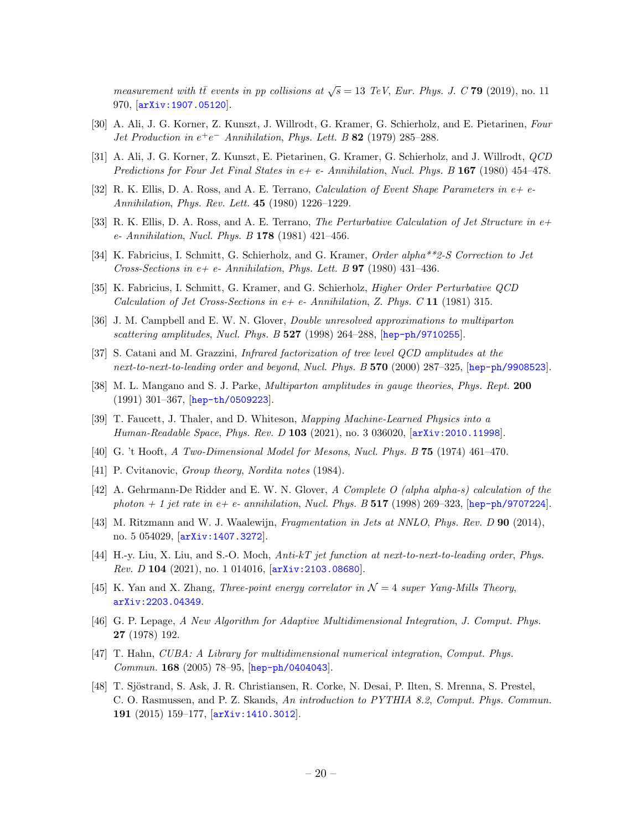measurement with  $t\bar{t}$  events in pp collisions at  $\sqrt{s} = 13$  TeV, Eur. Phys. J. C 79 (2019), no. 11 970, [[arXiv:1907.05120](http://arxiv.org/abs/1907.05120)].

- <span id="page-20-0"></span>[30] A. Ali, J. G. Korner, Z. Kunszt, J. Willrodt, G. Kramer, G. Schierholz, and E. Pietarinen, Four Jet Production in  $e^+e^-$  Annihilation, Phys. Lett. B 82 (1979) 285–288.
- [31] A. Ali, J. G. Korner, Z. Kunszt, E. Pietarinen, G. Kramer, G. Schierholz, and J. Willrodt, QCD Predictions for Four Jet Final States in  $e+e-$ -Annihilation, Nucl. Phys. B 167 (1980) 454–478.
- [32] R. K. Ellis, D. A. Ross, and A. E. Terrano, *Calculation of Event Shape Parameters in*  $e+e-$ Annihilation, Phys. Rev. Lett. 45 (1980) 1226–1229.
- [33] R. K. Ellis, D. A. Ross, and A. E. Terrano, The Perturbative Calculation of Jet Structure in e+ e- Annihilation, Nucl. Phys. B 178 (1981) 421–456.
- [34] K. Fabricius, I. Schmitt, G. Schierholz, and G. Kramer, *Order alpha\*\*2-S Correction to Jet* Cross-Sections in  $e+ e- Annihilation$ , Phys. Lett. B **97** (1980) 431–436.
- <span id="page-20-1"></span>[35] K. Fabricius, I. Schmitt, G. Kramer, and G. Schierholz, Higher Order Perturbative QCD Calculation of Jet Cross-Sections in  $e+ e$ - Annihilation, Z. Phys. C 11 (1981) 315.
- <span id="page-20-2"></span>[36] J. M. Campbell and E. W. N. Glover, Double unresolved approximations to multiparton scattering amplitudes, Nucl. Phys. B 527 (1998) 264-288, [[hep-ph/9710255](http://arxiv.org/abs/hep-ph/9710255)].
- <span id="page-20-3"></span>[37] S. Catani and M. Grazzini, Infrared factorization of tree level QCD amplitudes at the next-to-next-to-leading order and beyond, Nucl. Phys. B 570 (2000) 287-325, [[hep-ph/9908523](http://arxiv.org/abs/hep-ph/9908523)].
- <span id="page-20-4"></span>[38] M. L. Mangano and S. J. Parke, *Multiparton amplitudes in gauge theories*, *Phys. Rept.* 200 (1991) 301–367, [[hep-th/0509223](http://arxiv.org/abs/hep-th/0509223)].
- <span id="page-20-5"></span>[39] T. Faucett, J. Thaler, and D. Whiteson, Mapping Machine-Learned Physics into a Human-Readable Space, Phys. Rev. D 103 (2021), no. 3 036020,  $[\text{arXiv}:2010.11998]$ .
- <span id="page-20-6"></span>[40] G. 't Hooft, A Two-Dimensional Model for Mesons, Nucl. Phys. B 75 (1974) 461–470.
- <span id="page-20-7"></span>[41] P. Cvitanovic, *Group theory, Nordita notes* (1984).
- <span id="page-20-8"></span>[42] A. Gehrmann-De Ridder and E. W. N. Glover, A Complete O (alpha alpha-s) calculation of the photon  $+ 1$  jet rate in e+ e- annihilation, Nucl. Phys. B 517 (1998) 269–323, [[hep-ph/9707224](http://arxiv.org/abs/hep-ph/9707224)].
- [43] M. Ritzmann and W. J. Waalewijn, Fragmentation in Jets at NNLO, Phys. Rev. D 90 (2014), no. 5 054029, [[arXiv:1407.3272](http://arxiv.org/abs/1407.3272)].
- <span id="page-20-9"></span>[44] H.-y. Liu, X. Liu, and S.-O. Moch, Anti-kT jet function at next-to-next-to-leading order, Phys. Rev. D 104 (2021), no. 1 014016,  $arXiv:2103.08680$ .
- <span id="page-20-10"></span>[45] K. Yan and X. Zhang, Three-point energy correlator in  $\mathcal{N}=4$  super Yang-Mills Theory, [arXiv:2203.04349](http://arxiv.org/abs/2203.04349).
- <span id="page-20-11"></span>[46] G. P. Lepage, A New Algorithm for Adaptive Multidimensional Integration, J. Comput. Phys. 27 (1978) 192.
- <span id="page-20-12"></span>[47] T. Hahn, CUBA: A Library for multidimensional numerical integration, Comput. Phys. Commun. 168 (2005) 78–95, [[hep-ph/0404043](http://arxiv.org/abs/hep-ph/0404043)].
- <span id="page-20-13"></span>[48] T. Sjöstrand, S. Ask, J. R. Christiansen, R. Corke, N. Desai, P. Ilten, S. Mrenna, S. Prestel, C. O. Rasmussen, and P. Z. Skands, An introduction to PYTHIA 8.2, Comput. Phys. Commun. 191 (2015) 159–177, [[arXiv:1410.3012](http://arxiv.org/abs/1410.3012)].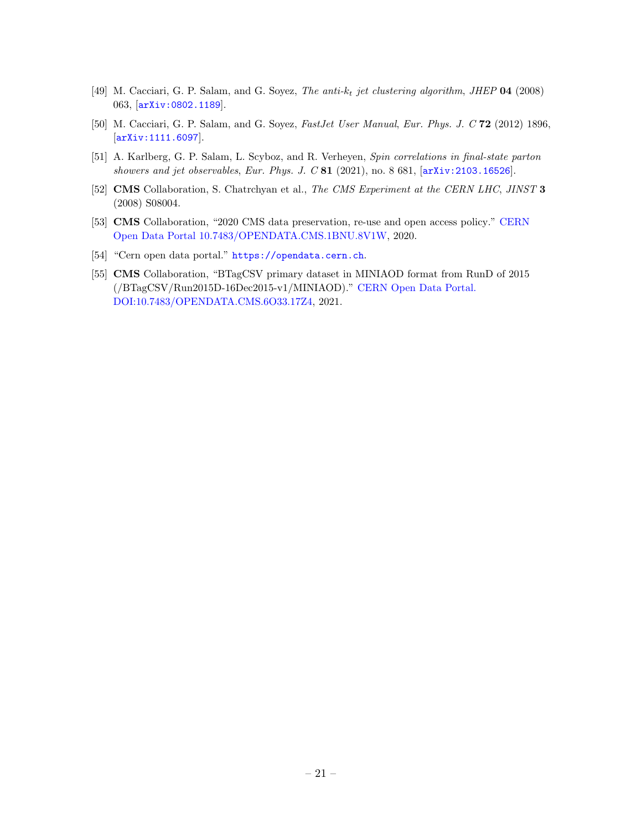- <span id="page-21-0"></span>[49] M. Cacciari, G. P. Salam, and G. Soyez, The anti- $k_t$  jet clustering algorithm, JHEP 04 (2008) 063, [[arXiv:0802.1189](http://arxiv.org/abs/0802.1189)].
- <span id="page-21-1"></span>[50] M. Cacciari, G. P. Salam, and G. Soyez, FastJet User Manual, Eur. Phys. J. C 72 (2012) 1896, [[arXiv:1111.6097](http://arxiv.org/abs/1111.6097)].
- <span id="page-21-2"></span>[51] A. Karlberg, G. P. Salam, L. Scyboz, and R. Verheyen, Spin correlations in final-state parton showers and jet observables, Eur. Phys. J.  $C 81$  (2021), no. 8 681,  $[arXiv:2103.16526]$  $[arXiv:2103.16526]$  $[arXiv:2103.16526]$ .
- <span id="page-21-3"></span>[52] CMS Collaboration, S. Chatrchyan et al., The CMS Experiment at the CERN LHC, JINST 3 (2008) S08004.
- <span id="page-21-4"></span>[53] CMS Collaboration, "2020 CMS data preservation, re-use and open access policy." [CERN](http://opendata.cern.ch/record/24131) [Open Data Portal 10.7483/OPENDATA.CMS.1BNU.8V1W,](http://opendata.cern.ch/record/24131) 2020.
- <span id="page-21-5"></span>[54] "Cern open data portal." <https://opendata.cern.ch>.
- <span id="page-21-6"></span>[55] CMS Collaboration, "BTagCSV primary dataset in MINIAOD format from RunD of 2015 (/BTagCSV/Run2015D-16Dec2015-v1/MINIAOD)." [CERN Open Data Portal.](http://opendata.cern.ch/record/415) [DOI:10.7483/OPENDATA.CMS.6O33.17Z4,](http://opendata.cern.ch/record/415) 2021.